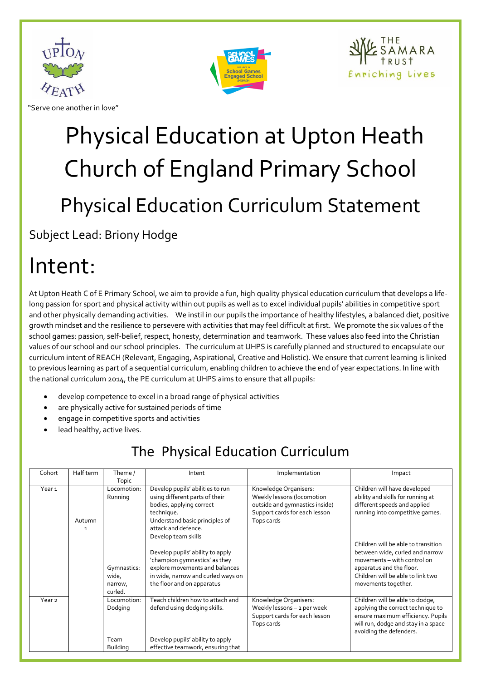

"Serve one another in love"



# Physical Education at Upton Heath Church of England Primary School Physical Education Curriculum Statement

Subject Lead: Briony Hodge

### Intent:

At Upton Heath C of E Primary School, we aim to provide a fun, high quality physical education curriculum that develops a lifelong passion for sport and physical activity within out pupils as well as to excel individual pupils' abilities in competitive sport and other physically demanding activities. We instil in our pupils the importance of healthy lifestyles, a balanced diet, positive growth mindset and the resilience to persevere with activities that may feel difficult at first. We promote the six values of the school games: passion, self-belief, respect, honesty, determination and teamwork. These values also feed into the Christian values of our school and our school principles. The curriculum at UHPS is carefully planned and structured to encapsulate our curriculum intent of REACH (Relevant, Engaging, Aspirational, Creative and Holistic). We ensure that current learning is linked to previous learning as part of a sequential curriculum, enabling children to achieve the end of year expectations. In line with the national curriculum 2014, the PE curriculum at UHPS aims to ensure that all pupils:

- develop competence to excel in a broad range of physical activities
- are physically active for sustained periods of time
- engage in competitive sports and activities
- lead healthy, active lives.

#### The Physical Education Curriculum

| Cohort            | Half term | Theme /         | Intent                             | Implementation                 | Impact                              |
|-------------------|-----------|-----------------|------------------------------------|--------------------------------|-------------------------------------|
|                   |           | Topic           |                                    |                                |                                     |
| Year <sub>1</sub> |           | Locomotion:     | Develop pupils' abilities to run   | Knowledge Organisers:          | Children will have developed        |
|                   |           | Running         | using different parts of their     | Weekly lessons (locomotion     | ability and skills for running at   |
|                   |           |                 | bodies, applying correct           | outside and gymnastics inside) | different speeds and applied        |
|                   |           |                 | technique.                         | Support cards for each lesson  | running into competitive games.     |
|                   | Autumn    |                 | Understand basic principles of     | Tops cards                     |                                     |
|                   | 1         |                 | attack and defence.                |                                |                                     |
|                   |           |                 | Develop team skills                |                                |                                     |
|                   |           |                 |                                    |                                | Children will be able to transition |
|                   |           |                 | Develop pupils' ability to apply   |                                | between wide, curled and narrow     |
|                   |           |                 | 'champion gymnastics' as they      |                                | movements – with control on         |
|                   |           | Gymnastics:     | explore movements and balances     |                                | apparatus and the floor.            |
|                   |           | wide,           | in wide, narrow and curled ways on |                                | Children will be able to link two   |
|                   |           | narrow,         | the floor and on apparatus         |                                | movements together.                 |
|                   |           | curled.         |                                    |                                |                                     |
| Year <sub>2</sub> |           | Locomotion:     | Teach children how to attach and   | Knowledge Organisers:          | Children will be able to dodge,     |
|                   |           | Dodging         | defend using dodging skills.       | Weekly lessons - 2 per week    | applying the correct technique to   |
|                   |           |                 |                                    | Support cards for each lesson  | ensure maximum efficiency. Pupils   |
|                   |           |                 |                                    | Tops cards                     | will run, dodge and stay in a space |
|                   |           |                 |                                    |                                | avoiding the defenders.             |
|                   |           | Team            | Develop pupils' ability to apply   |                                |                                     |
|                   |           | <b>Building</b> | effective teamwork, ensuring that  |                                |                                     |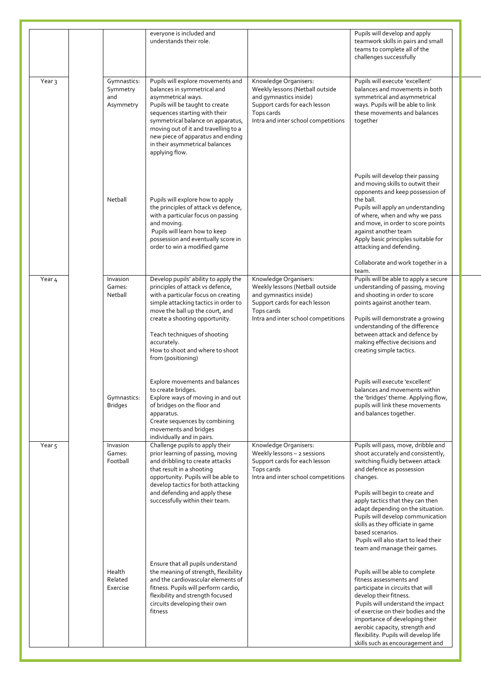|                   |                                             | everyone is included and<br>understands their role.                                                                                                                                                                                                                                                                                  |                                                                                                                                                                          | Pupils will develop and apply<br>teamwork skills in pairs and small<br>teams to complete all of the<br>challenges successfully                                                                                                                                                                                                                                                                                                          |
|-------------------|---------------------------------------------|--------------------------------------------------------------------------------------------------------------------------------------------------------------------------------------------------------------------------------------------------------------------------------------------------------------------------------------|--------------------------------------------------------------------------------------------------------------------------------------------------------------------------|-----------------------------------------------------------------------------------------------------------------------------------------------------------------------------------------------------------------------------------------------------------------------------------------------------------------------------------------------------------------------------------------------------------------------------------------|
| Year <sub>3</sub> | Gymnastics:<br>Symmetry<br>and<br>Asymmetry | Pupils will explore movements and<br>balances in symmetrical and<br>asymmetrical ways.<br>Pupils will be taught to create<br>sequences starting with their<br>symmetrical balance on apparatus,<br>moving out of it and travelling to a<br>new piece of apparatus and ending<br>in their asymmetrical balances<br>applying flow.     | Knowledge Organisers:<br>Weekly lessons (Netball outside<br>and gymnastics inside)<br>Support cards for each lesson<br>Tops cards<br>Intra and inter school competitions | Pupils will execute 'excellent'<br>balances and movements in both<br>symmetrical and asymmetrical<br>ways. Pupils will be able to link<br>these movements and balances<br>together                                                                                                                                                                                                                                                      |
|                   | Netball                                     | Pupils will explore how to apply<br>the principles of attack vs defence,<br>with a particular focus on passing<br>and moving.<br>Pupils will learn how to keep<br>possession and eventually score in<br>order to win a modified game                                                                                                 |                                                                                                                                                                          | Pupils will develop their passing<br>and moving skills to outwit their<br>opponents and keep possession of<br>the ball.<br>Pupils will apply an understanding<br>of where, when and why we pass<br>and move, in order to score points<br>against another team<br>Apply basic principles suitable for<br>attacking and defending.<br>Collaborate and work together in a                                                                  |
| Year 4            | Invasion<br>Games:<br>Netball               | Develop pupils' ability to apply the<br>principles of attack vs defence,<br>with a particular focus on creating<br>simple attacking tactics in order to<br>move the ball up the court, and<br>create a shooting opportunity.<br>Teach techniques of shooting<br>accurately.<br>How to shoot and where to shoot<br>from (positioning) | Knowledge Organisers:<br>Weekly lessons (Netball outside<br>and gymnastics inside)<br>Support cards for each lesson<br>Tops cards<br>Intra and inter school competitions | team.<br>Pupils will be able to apply a secure<br>understanding of passing, moving<br>and shooting in order to score<br>points against another team.<br>Pupils will demonstrate a growing<br>understanding of the difference<br>between attack and defence by<br>making effective decisions and<br>creating simple tactics.                                                                                                             |
|                   | Gymnastics:<br><b>Bridges</b>               | Explore movements and balances<br>to create bridges.<br>Explore ways of moving in and out<br>of bridges on the floor and<br>apparatus.<br>Create sequences by combining<br>movements and bridges<br>individually and in pairs.                                                                                                       |                                                                                                                                                                          | Pupils will execute 'excellent'<br>balances and movements within<br>the 'bridges' theme. Applying flow,<br>pupils will link these movements<br>and balances together.                                                                                                                                                                                                                                                                   |
| Year <sub>5</sub> | Invasion<br>Games:<br>Football              | Challenge pupils to apply their<br>prior learning of passing, moving<br>and dribbling to create attacks<br>that result in a shooting<br>opportunity. Pupils will be able to<br>develop tactics for both attacking<br>and defending and apply these<br>successfully within their team.                                                | Knowledge Organisers:<br>Weekly lessons - 2 sessions<br>Support cards for each lesson<br>Tops cards<br>Intra and inter school competitions                               | Pupils will pass, move, dribble and<br>shoot accurately and consistently,<br>switching fluidly between attack<br>and defence as possession<br>changes.<br>Pupils will begin to create and<br>apply tactics that they can then<br>adapt depending on the situation.<br>Pupils will develop communication<br>skills as they officiate in game<br>based scenarios.<br>Pupils will also start to lead their<br>team and manage their games. |
|                   | Health<br>Related<br>Exercise               | Ensure that all pupils understand<br>the meaning of strength, flexibility<br>and the cardiovascular elements of<br>fitness. Pupils will perform cardio,<br>flexibility and strength focused<br>circuits developing their own<br>fitness                                                                                              |                                                                                                                                                                          | Pupils will be able to complete<br>fitness assessments and<br>participate in circuits that will<br>develop their fitness.<br>Pupils will understand the impact<br>of exercise on their bodies and the<br>importance of developing their<br>aerobic capacity, strength and<br>flexibility. Pupils will develop life<br>skills such as encouragement and                                                                                  |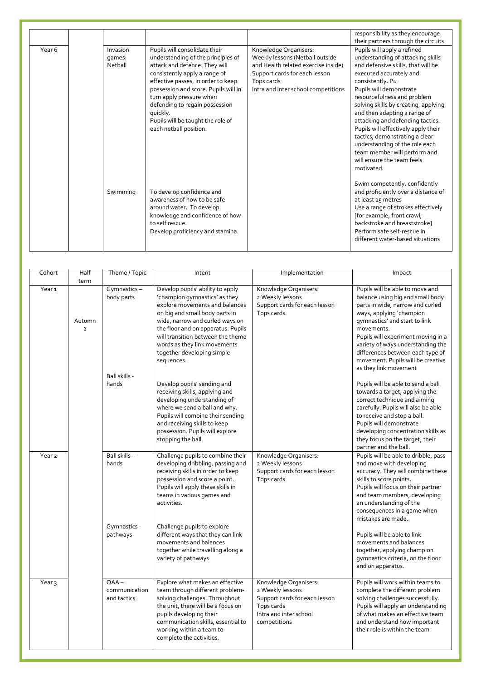|        |                               |                                                                                                                                                                                                                                                                                                                                                              |                                                                                                                                                                                       | responsibility as they encourage                                                                                                                                                                                                                                                                                                                                                                                                                                                                                   |
|--------|-------------------------------|--------------------------------------------------------------------------------------------------------------------------------------------------------------------------------------------------------------------------------------------------------------------------------------------------------------------------------------------------------------|---------------------------------------------------------------------------------------------------------------------------------------------------------------------------------------|--------------------------------------------------------------------------------------------------------------------------------------------------------------------------------------------------------------------------------------------------------------------------------------------------------------------------------------------------------------------------------------------------------------------------------------------------------------------------------------------------------------------|
|        |                               |                                                                                                                                                                                                                                                                                                                                                              |                                                                                                                                                                                       | their partners through the circuits                                                                                                                                                                                                                                                                                                                                                                                                                                                                                |
| Year 6 | Invasion<br>qames:<br>Netball | Pupils will consolidate their<br>understanding of the principles of<br>attack and defence. They will<br>consistently apply a range of<br>effective passes, in order to keep<br>possession and score. Pupils will in<br>turn apply pressure when<br>defending to regain possession<br>quickly.<br>Pupils will be taught the role of<br>each netball position. | Knowledge Organisers:<br>Weekly lessons (Netball outside<br>and Health related exercise inside)<br>Support cards for each lesson<br>Tops cards<br>Intra and inter school competitions | Pupils will apply a refined<br>understanding of attacking skills<br>and defensive skills, that will be<br>executed accurately and<br>consistently. Pu<br>Pupils will demonstrate<br>resourcefulness and problem<br>solving skills by creating, applying<br>and then adapting a range of<br>attacking and defending tactics.<br>Pupils will effectively apply their<br>tactics, demonstrating a clear<br>understanding of the role each<br>team member will perform and<br>will ensure the team feels<br>motivated. |
|        | Swimming                      | To develop confidence and<br>awareness of how to be safe<br>around water. To develop<br>knowledge and confidence of how<br>to self rescue.<br>Develop proficiency and stamina.                                                                                                                                                                               |                                                                                                                                                                                       | Swim competently, confidently<br>and proficiently over a distance of<br>at least 25 metres<br>Use a range of strokes effectively<br>[for example, front crawl,<br>backstroke and breaststroke]<br>Perform safe self-rescue in<br>different water-based situations                                                                                                                                                                                                                                                  |

| Cohort            | Half                             | Theme / Topic                           | Intent                                                                                                                                                                                                                                                                                                                          | Implementation                                                                                                                     | Impact                                                                                                                                                                                                                                                                                                                                                          |
|-------------------|----------------------------------|-----------------------------------------|---------------------------------------------------------------------------------------------------------------------------------------------------------------------------------------------------------------------------------------------------------------------------------------------------------------------------------|------------------------------------------------------------------------------------------------------------------------------------|-----------------------------------------------------------------------------------------------------------------------------------------------------------------------------------------------------------------------------------------------------------------------------------------------------------------------------------------------------------------|
| Year <sub>1</sub> | term<br>Autumn<br>$\overline{2}$ | Gymnastics-<br>body parts               | Develop pupils' ability to apply<br>'champion gymnastics' as they<br>explore movements and balances<br>on big and small body parts in<br>wide, narrow and curled ways on<br>the floor and on apparatus. Pupils<br>will transition between the theme<br>words as they link movements<br>together developing simple<br>sequences. | Knowledge Organisers:<br>2 Weekly lessons<br>Support cards for each lesson<br>Tops cards                                           | Pupils will be able to move and<br>balance using big and small body<br>parts in wide, narrow and curled<br>ways, applying 'champion<br>gymnastics' and start to link<br>movements.<br>Pupils will experiment moving in a<br>variety of ways understanding the<br>differences between each type of<br>movement. Pupils will be creative<br>as they link movement |
|                   |                                  | Ball skills -<br>hands                  | Develop pupils' sending and<br>receiving skills, applying and<br>developing understanding of<br>where we send a ball and why.<br>Pupils will combine their sending<br>and receiving skills to keep<br>possession. Pupils will explore<br>stopping the ball.                                                                     |                                                                                                                                    | Pupils will be able to send a ball<br>towards a target, applying the<br>correct technique and aiming<br>carefully. Pupils will also be able<br>to receive and stop a ball.<br>Pupils will demonstrate<br>developing concentration skills as<br>they focus on the target, their<br>partner and the ball.                                                         |
| Year <sub>2</sub> |                                  | Ball skills-<br>hands                   | Challenge pupils to combine their<br>developing dribbling, passing and<br>receiving skills in order to keep<br>possession and score a point.<br>Pupils will apply these skills in<br>teams in various games and<br>activities.                                                                                                  | Knowledge Organisers:<br>2 Weekly lessons<br>Support cards for each lesson<br>Tops cards                                           | Pupils will be able to dribble, pass<br>and move with developing<br>accuracy. They will combine these<br>skills to score points.<br>Pupils will focus on their partner<br>and team members, developing<br>an understanding of the<br>consequences in a game when<br>mistakes are made.                                                                          |
|                   |                                  | Gymnastics -<br>pathways                | Challenge pupils to explore<br>different ways that they can link<br>movements and balances<br>together while travelling along a<br>variety of pathways                                                                                                                                                                          |                                                                                                                                    | Pupils will be able to link<br>movements and balances<br>together, applying champion<br>gymnastics criteria, on the floor<br>and on apparatus.                                                                                                                                                                                                                  |
| Year <sub>3</sub> |                                  | $OAA -$<br>communication<br>and tactics | Explore what makes an effective<br>team through different problem-<br>solving challenges. Throughout<br>the unit, there will be a focus on<br>pupils developing their<br>communication skills, essential to<br>working within a team to<br>complete the activities.                                                             | Knowledge Organisers:<br>2 Weekly lessons<br>Support cards for each lesson<br>Tops cards<br>Intra and inter school<br>competitions | Pupils will work within teams to<br>complete the different problem<br>solving challenges successfully.<br>Pupils will apply an understanding<br>of what makes an effective team<br>and understand how important<br>their role is within the team                                                                                                                |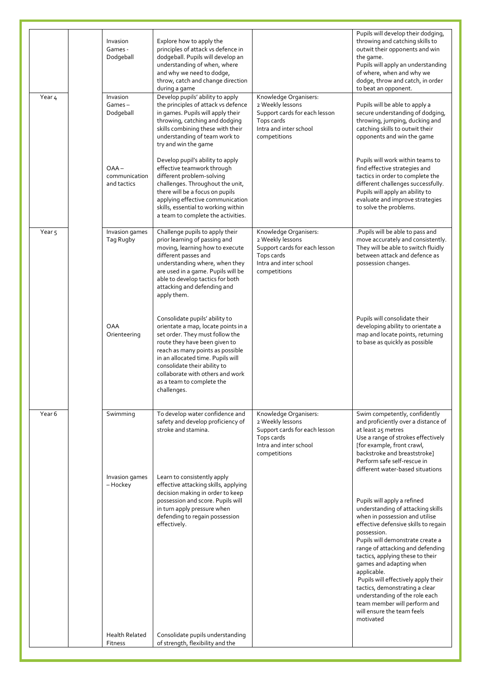|                   | Invasion<br>Games -<br>Dodgeball        | Explore how to apply the<br>principles of attack vs defence in<br>dodgeball. Pupils will develop an<br>understanding of when, where<br>and why we need to dodge,<br>throw, catch and change direction<br>during a game                                                                                                             |                                                                                                                                    | Pupils will develop their dodging,<br>throwing and catching skills to<br>outwit their opponents and win<br>the game.<br>Pupils will apply an understanding<br>of where, when and why we<br>dodge, throw and catch, in order<br>to beat an opponent.                                                                                                                                                                                                                                                   |
|-------------------|-----------------------------------------|------------------------------------------------------------------------------------------------------------------------------------------------------------------------------------------------------------------------------------------------------------------------------------------------------------------------------------|------------------------------------------------------------------------------------------------------------------------------------|-------------------------------------------------------------------------------------------------------------------------------------------------------------------------------------------------------------------------------------------------------------------------------------------------------------------------------------------------------------------------------------------------------------------------------------------------------------------------------------------------------|
| Year 4            | Invasion<br>Games-<br>Dodgeball         | Develop pupils' ability to apply<br>the principles of attack vs defence<br>in games. Pupils will apply their<br>throwing, catching and dodging<br>skills combining these with their<br>understanding of team work to<br>try and win the game                                                                                       | Knowledge Organisers:<br>2 Weekly lessons<br>Support cards for each lesson<br>Tops cards<br>Intra and inter school<br>competitions | Pupils will be able to apply a<br>secure understanding of dodging,<br>throwing, jumping, ducking and<br>catching skills to outwit their<br>opponents and win the game                                                                                                                                                                                                                                                                                                                                 |
|                   | $OAA -$<br>communication<br>and tactics | Develop pupil's ability to apply<br>effective teamwork through<br>different problem-solving<br>challenges. Throughout the unit,<br>there will be a focus on pupils<br>applying effective communication<br>skills, essential to working within<br>a team to complete the activities.                                                |                                                                                                                                    | Pupils will work within teams to<br>find effective strategies and<br>tactics in order to complete the<br>different challenges successfully.<br>Pupils will apply an ability to<br>evaluate and improve strategies<br>to solve the problems.                                                                                                                                                                                                                                                           |
| Year <sub>5</sub> | Invasion games<br>Tag Rugby             | Challenge pupils to apply their<br>prior learning of passing and<br>moving, learning how to execute<br>different passes and<br>understanding where, when they<br>are used in a game. Pupils will be<br>able to develop tactics for both<br>attacking and defending and<br>apply them.                                              | Knowledge Organisers:<br>2 Weekly lessons<br>Support cards for each lesson<br>Tops cards<br>Intra and inter school<br>competitions | . Pupils will be able to pass and<br>move accurately and consistently.<br>They will be able to switch fluidly<br>between attack and defence as<br>possession changes.                                                                                                                                                                                                                                                                                                                                 |
|                   | <b>OAA</b><br>Orienteering              | Consolidate pupils' ability to<br>orientate a map, locate points in a<br>set order. They must follow the<br>route they have been given to<br>reach as many points as possible<br>in an allocated time. Pupils will<br>consolidate their ability to<br>collaborate with others and work<br>as a team to complete the<br>challenges. |                                                                                                                                    | Pupils will consolidate their<br>developing ability to orientate a<br>map and locate points, returning<br>to base as quickly as possible                                                                                                                                                                                                                                                                                                                                                              |
| Year <sub>6</sub> | Swimming                                | To develop water confidence and<br>safety and develop proficiency of<br>stroke and stamina.                                                                                                                                                                                                                                        | Knowledge Organisers:<br>2 Weekly lessons<br>Support cards for each lesson<br>Tops cards<br>Intra and inter school<br>competitions | Swim competently, confidently<br>and proficiently over a distance of<br>at least 25 metres<br>Use a range of strokes effectively<br>[for example, front crawl,<br>backstroke and breaststroke]<br>Perform safe self-rescue in<br>different water-based situations                                                                                                                                                                                                                                     |
|                   | Invasion games<br>– Hockey              | Learn to consistently apply<br>effective attacking skills, applying<br>decision making in order to keep<br>possession and score. Pupils will<br>in turn apply pressure when<br>defending to regain possession<br>effectively.                                                                                                      |                                                                                                                                    | Pupils will apply a refined<br>understanding of attacking skills<br>when in possession and utilise<br>effective defensive skills to regain<br>possession.<br>Pupils will demonstrate create a<br>range of attacking and defending<br>tactics, applying these to their<br>games and adapting when<br>applicable.<br>Pupils will effectively apply their<br>tactics, demonstrating a clear<br>understanding of the role each<br>team member will perform and<br>will ensure the team feels<br>motivated |
|                   | <b>Health Related</b><br>Fitness        | Consolidate pupils understanding<br>of strength, flexibility and the                                                                                                                                                                                                                                                               |                                                                                                                                    |                                                                                                                                                                                                                                                                                                                                                                                                                                                                                                       |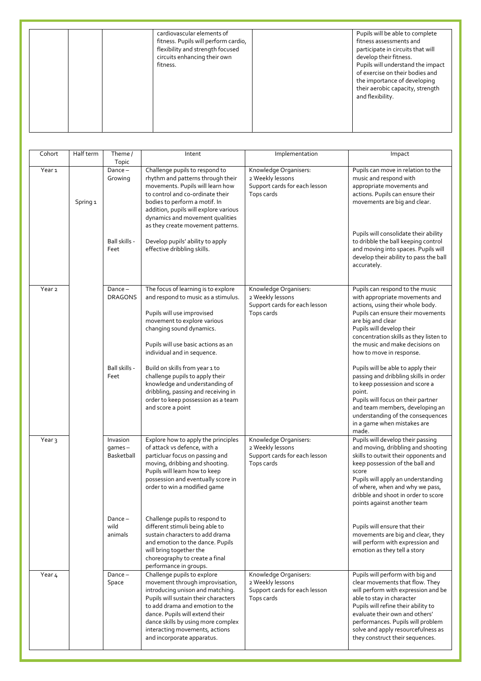| cardiovascular elements of<br>fitness. Pupils will perform cardio,<br>flexibility and strength focused<br>circuits enhancing their own<br>fitness. | Pupils will be able to complete<br>fitness assessments and<br>participate in circuits that will<br>develop their fitness.<br>Pupils will understand the impact<br>of exercise on their bodies and<br>the importance of developing<br>their aerobic capacity, strength<br>and flexibility. |
|----------------------------------------------------------------------------------------------------------------------------------------------------|-------------------------------------------------------------------------------------------------------------------------------------------------------------------------------------------------------------------------------------------------------------------------------------------|
|----------------------------------------------------------------------------------------------------------------------------------------------------|-------------------------------------------------------------------------------------------------------------------------------------------------------------------------------------------------------------------------------------------------------------------------------------------|

| Cohort            | Half term | Theme /                                                | Intent                                                                                                                                                                                                                                                                                                                                                           | Implementation                                                                           | Impact                                                                                                                                                                                                                                                                                                                                                                               |
|-------------------|-----------|--------------------------------------------------------|------------------------------------------------------------------------------------------------------------------------------------------------------------------------------------------------------------------------------------------------------------------------------------------------------------------------------------------------------------------|------------------------------------------------------------------------------------------|--------------------------------------------------------------------------------------------------------------------------------------------------------------------------------------------------------------------------------------------------------------------------------------------------------------------------------------------------------------------------------------|
| Year <sub>1</sub> | Spring 1  | Topic<br>$Dance -$<br>Growing<br>Ball skills -<br>Feet | Challenge pupils to respond to<br>rhythm and patterns through their<br>movements. Pupils will learn how<br>to control and co-ordinate their<br>bodies to perform a motif. In<br>addition, pupils will explore various<br>dynamics and movement qualities<br>as they create movement patterns.<br>Develop pupils' ability to apply<br>effective dribbling skills. | Knowledge Organisers:<br>2 Weekly lessons<br>Support cards for each lesson<br>Tops cards | Pupils can move in relation to the<br>music and respond with<br>appropriate movements and<br>actions. Pupils can ensure their<br>movements are big and clear.<br>Pupils will consolidate their ability<br>to dribble the ball keeping control<br>and moving into spaces. Pupils will<br>develop their ability to pass the ball<br>accurately.                                        |
| Year <sub>2</sub> |           | $Dance -$<br><b>DRAGONS</b><br>Ball skills -<br>Feet   | The focus of learning is to explore<br>and respond to music as a stimulus.<br>Pupils will use improvised<br>movement to explore various<br>changing sound dynamics.<br>Pupils will use basic actions as an<br>individual and in sequence.<br>Build on skills from year 1 to<br>challenge pupils to apply their                                                   | Knowledge Organisers:<br>2 Weekly lessons<br>Support cards for each lesson<br>Tops cards | Pupils can respond to the music<br>with appropriate movements and<br>actions, using their whole body.<br>Pupils can ensure their movements<br>are big and clear<br>Pupils will develop their<br>concentration skills as they listen to<br>the music and make decisions on<br>how to move in response.<br>Pupils will be able to apply their<br>passing and dribbling skills in order |
|                   |           |                                                        | knowledge and understanding of<br>dribbling, passing and receiving in<br>order to keep possession as a team<br>and score a point                                                                                                                                                                                                                                 |                                                                                          | to keep possession and score a<br>point.<br>Pupils will focus on their partner<br>and team members, developing an<br>understanding of the consequences<br>in a game when mistakes are<br>made.                                                                                                                                                                                       |
| Year <sub>3</sub> |           | Invasion<br>$qames -$<br>Basketball                    | Explore how to apply the principles<br>of attack vs defence, with a<br>particluar focus on passing and<br>moving, dribbing and shooting.<br>Pupils will learn how to keep<br>possession and eventually score in<br>order to win a modified game                                                                                                                  | Knowledge Organisers:<br>2 Weekly lessons<br>Support cards for each lesson<br>Tops cards | Pupils will develop their passing<br>and moving, dribbling and shooting<br>skills to outwit their opponents and<br>keep possession of the ball and<br>score<br>Pupils will apply an understanding<br>of where, when and why we pass,<br>dribble and shoot in order to score<br>points against another team                                                                           |
|                   |           | $Dance -$<br>wild<br>animals                           | Challenge pupils to respond to<br>different stimuli being able to<br>sustain characters to add drama<br>and emotion to the dance. Pupils<br>will bring together the<br>choreography to create a final<br>performance in groups.                                                                                                                                  |                                                                                          | Pupils will ensure that their<br>movements are big and clear, they<br>will perform with expression and<br>emotion as they tell a story                                                                                                                                                                                                                                               |
| Year 4            |           | Dance $-$<br>Space                                     | Challenge pupils to explore<br>movement through improvisation,<br>introducing unison and matching.<br>Pupils will sustain their characters<br>to add drama and emotion to the<br>dance. Pupils will extend their<br>dance skills by using more complex<br>interacting movements, actions<br>and incorporate apparatus.                                           | Knowledge Organisers:<br>2 Weekly lessons<br>Support cards for each lesson<br>Tops cards | Pupils will perform with big and<br>clear movements that flow. They<br>will perform with expression and be<br>able to stay in character<br>Pupils will refine their ability to<br>evaluate their own and others'<br>performances. Pupils will problem<br>solve and apply resourcefulness as<br>they construct their sequences.                                                       |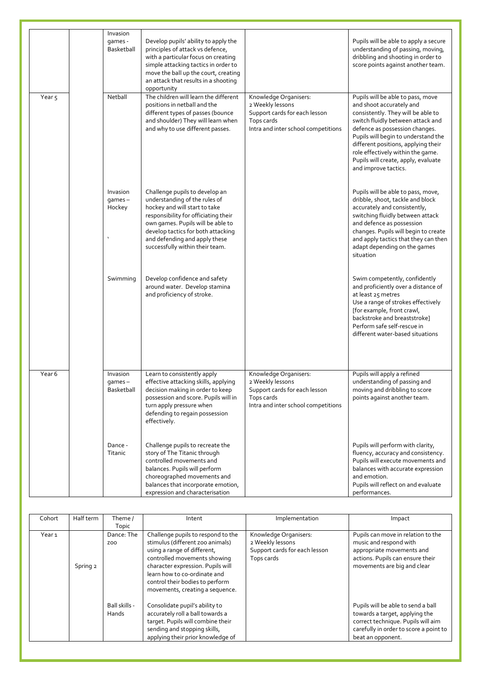|                   | Invasion                               |                                                                                                                                                                                                                                                                                         |                                                                                                                                 |                                                                                                                                                                                                                                                                                                                                                              |
|-------------------|----------------------------------------|-----------------------------------------------------------------------------------------------------------------------------------------------------------------------------------------------------------------------------------------------------------------------------------------|---------------------------------------------------------------------------------------------------------------------------------|--------------------------------------------------------------------------------------------------------------------------------------------------------------------------------------------------------------------------------------------------------------------------------------------------------------------------------------------------------------|
|                   | qames -<br>Basketball                  | Develop pupils' ability to apply the<br>principles of attack vs defence,<br>with a particular focus on creating<br>simple attacking tactics in order to<br>move the ball up the court, creating<br>an attack that results in a shooting<br>opportunity                                  |                                                                                                                                 | Pupils will be able to apply a secure<br>understanding of passing, moving,<br>dribbling and shooting in order to<br>score points against another team.                                                                                                                                                                                                       |
| Year <sub>5</sub> | Netball                                | The children will learn the different<br>positions in netball and the<br>different types of passes (bounce<br>and shoulder) They will learn when<br>and why to use different passes.                                                                                                    | Knowledge Organisers:<br>2 Weekly lessons<br>Support cards for each lesson<br>Tops cards<br>Intra and inter school competitions | Pupils will be able to pass, move<br>and shoot accurately and<br>consistently. They will be able to<br>switch fluidly between attack and<br>defence as possession changes.<br>Pupils will begin to understand the<br>different positions, applying their<br>role effectively within the game.<br>Pupils will create, apply, evaluate<br>and improve tactics. |
|                   | Invasion<br>$q$ ames $-$<br>Hockey     | Challenge pupils to develop an<br>understanding of the rules of<br>hockey and will start to take<br>responsibility for officiating their<br>own games. Pupils will be able to<br>develop tactics for both attacking<br>and defending and apply these<br>successfully within their team. |                                                                                                                                 | Pupils will be able to pass, move,<br>dribble, shoot, tackle and block<br>accurately and consistently,<br>switching fluidly between attack<br>and defence as possession<br>changes. Pupils will begin to create<br>and apply tactics that they can then<br>adapt depending on the games<br>situation                                                         |
|                   | Swimming                               | Develop confidence and safety<br>around water. Develop stamina<br>and proficiency of stroke.                                                                                                                                                                                            |                                                                                                                                 | Swim competently, confidently<br>and proficiently over a distance of<br>at least 25 metres<br>Use a range of strokes effectively<br>[for example, front crawl,<br>backstroke and breaststroke]<br>Perform safe self-rescue in<br>different water-based situations                                                                                            |
| Year 6            | Invasion<br>$q$ ames $-$<br>Basketball | Learn to consistently apply<br>effective attacking skills, applying<br>decision making in order to keep<br>possession and score. Pupils will in<br>turn apply pressure when<br>defending to regain possession<br>effectively.                                                           | Knowledge Organisers:<br>2 Weekly lessons<br>Support cards for each lesson<br>Tops cards<br>Intra and inter school competitions | Pupils will apply a refined<br>understanding of passing and<br>moving and dribbling to score<br>points against another team.                                                                                                                                                                                                                                 |
|                   | Dance -<br>Titanic                     | Challenge pupils to recreate the<br>story of The Titanic through<br>controlled movements and<br>balances. Pupils will perform<br>choreographed movements and<br>balances that incorporate emotion,<br>expression and characterisation                                                   |                                                                                                                                 | Pupils will perform with clarity,<br>fluency, accuracy and consistency.<br>Pupils will execute movements and<br>balances with accurate expression<br>and emotion.<br>Pupils will reflect on and evaluate<br>performances.                                                                                                                                    |

| Cohort            | Half term | Theme /                    | Intent                                                                                                                                                                                                                                                                           | Implementation                                                                           | Impact                                                                                                                                                                    |
|-------------------|-----------|----------------------------|----------------------------------------------------------------------------------------------------------------------------------------------------------------------------------------------------------------------------------------------------------------------------------|------------------------------------------------------------------------------------------|---------------------------------------------------------------------------------------------------------------------------------------------------------------------------|
| Year <sub>1</sub> | Spring 2  | Topic<br>Dance: The<br>ZOO | Challenge pupils to respond to the<br>stimulus (different zoo animals)<br>using a range of different,<br>controlled movements showing<br>character expression. Pupils will<br>learn how to co-ordinate and<br>control their bodies to perform<br>movements, creating a sequence. | Knowledge Organisers:<br>2 Weekly lessons<br>Support cards for each lesson<br>Tops cards | Pupils can move in relation to the<br>music and respond with<br>appropriate movements and<br>actions. Pupils can ensure their<br>movements are big and clear              |
|                   |           | Ball skills -<br>Hands     | Consolidate pupil's ability to<br>accurately roll a ball towards a<br>target. Pupils will combine their<br>sending and stopping skills,<br>applying their prior knowledge of                                                                                                     |                                                                                          | Pupils will be able to send a ball<br>towards a target, applying the<br>correct technique. Pupils will aim<br>carefully in order to score a point to<br>beat an opponent. |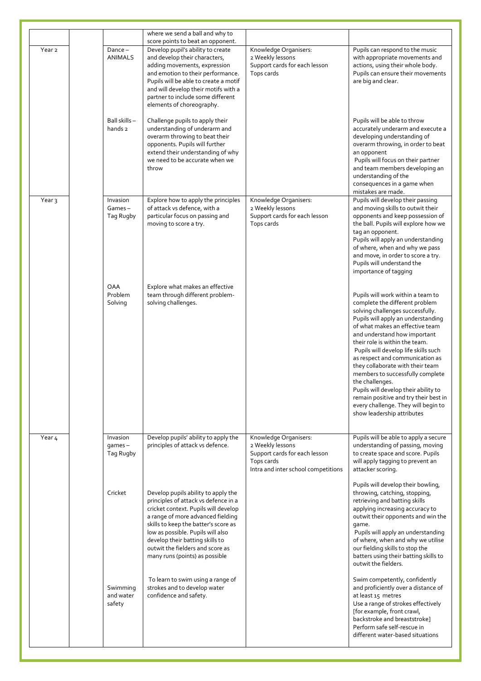|                   |                                       | where we send a ball and why to                                                                                                                                                                                                                                                                                                                |                                                                                                                                 |                                                                                                                                                                                                                                                                                                                                                                                                                                                                                                                                                                                |
|-------------------|---------------------------------------|------------------------------------------------------------------------------------------------------------------------------------------------------------------------------------------------------------------------------------------------------------------------------------------------------------------------------------------------|---------------------------------------------------------------------------------------------------------------------------------|--------------------------------------------------------------------------------------------------------------------------------------------------------------------------------------------------------------------------------------------------------------------------------------------------------------------------------------------------------------------------------------------------------------------------------------------------------------------------------------------------------------------------------------------------------------------------------|
| Year <sub>2</sub> | $Dance -$<br><b>ANIMALS</b>           | score points to beat an opponent.<br>Develop pupil's ability to create<br>and develop their characters,<br>adding movements, expression<br>and emotion to their performance.<br>Pupils will be able to create a motif<br>and will develop their motifs with a<br>partner to include some different<br>elements of choreography.                | Knowledge Organisers:<br>2 Weekly lessons<br>Support cards for each lesson<br>Tops cards                                        | Pupils can respond to the music<br>with appropriate movements and<br>actions, using their whole body.<br>Pupils can ensure their movements<br>are big and clear.                                                                                                                                                                                                                                                                                                                                                                                                               |
|                   | Ball skills-<br>hands 2               | Challenge pupils to apply their<br>understanding of underarm and<br>overarm throwing to beat their<br>opponents. Pupils will further<br>extend their understanding of why<br>we need to be accurate when we<br>throw                                                                                                                           |                                                                                                                                 | Pupils will be able to throw<br>accurately underarm and execute a<br>developing understanding of<br>overarm throwing, in order to beat<br>an opponent<br>Pupils will focus on their partner<br>and team members developing an<br>understanding of the<br>consequences in a game when<br>mistakes are made.                                                                                                                                                                                                                                                                     |
| Year <sub>3</sub> | Invasion<br>Games-<br>Tag Rugby       | Explore how to apply the principles<br>of attack vs defence, with a<br>particular focus on passing and<br>moving to score a try.                                                                                                                                                                                                               | Knowledge Organisers:<br>2 Weekly lessons<br>Support cards for each lesson<br>Tops cards                                        | Pupils will develop their passing<br>and moving skills to outwit their<br>opponents and keep possession of<br>the ball. Pupils will explore how we<br>tag an opponent.<br>Pupils will apply an understanding<br>of where, when and why we pass<br>and move, in order to score a try.<br>Pupils will understand the<br>importance of tagging                                                                                                                                                                                                                                    |
|                   | OAA<br>Problem<br>Solving             | Explore what makes an effective<br>team through different problem-<br>solving challenges.                                                                                                                                                                                                                                                      |                                                                                                                                 | Pupils will work within a team to<br>complete the different problem<br>solving challenges successfully.<br>Pupils will apply an understanding<br>of what makes an effective team<br>and understand how important<br>their role is within the team.<br>Pupils will develop life skills such<br>as respect and communication as<br>they collaborate with their team<br>members to successfully complete<br>the challenges.<br>Pupils will develop their ability to<br>remain positive and try their best in<br>every challenge. They will begin to<br>show leadership attributes |
| Year <sub>4</sub> | Invasion<br>$q$ ames $-$<br>Tag Rugby | Develop pupils' ability to apply the<br>principles of attack vs defence.                                                                                                                                                                                                                                                                       | Knowledge Organisers:<br>2 Weekly lessons<br>Support cards for each lesson<br>Tops cards<br>Intra and inter school competitions | Pupils will be able to apply a secure<br>understanding of passing, moving<br>to create space and score. Pupils<br>will apply tagging to prevent an<br>attacker scoring.                                                                                                                                                                                                                                                                                                                                                                                                        |
|                   | Cricket                               | Develop pupils ability to apply the<br>principles of attack vs defence in a<br>cricket context. Pupils will develop<br>a range of more advanced fielding<br>skills to keep the batter's score as<br>low as possible. Pupils will also<br>develop their batting skills to<br>outwit the fielders and score as<br>many runs (points) as possible |                                                                                                                                 | Pupils will develop their bowling,<br>throwing, catching, stopping,<br>retrieving and batting skills<br>applying increasing accuracy to<br>outwit their opponents and win the<br>game.<br>Pupils will apply an understanding<br>of where, when and why we utilise<br>our fielding skills to stop the<br>batters using their batting skills to<br>outwit the fielders.                                                                                                                                                                                                          |
|                   | Swimming<br>and water<br>safety       | To learn to swim using a range of<br>strokes and to develop water<br>confidence and safety.                                                                                                                                                                                                                                                    |                                                                                                                                 | Swim competently, confidently<br>and proficiently over a distance of<br>at least 15 metres<br>Use a range of strokes effectively<br>[for example, front crawl,<br>backstroke and breaststroke]<br>Perform safe self-rescue in<br>different water-based situations                                                                                                                                                                                                                                                                                                              |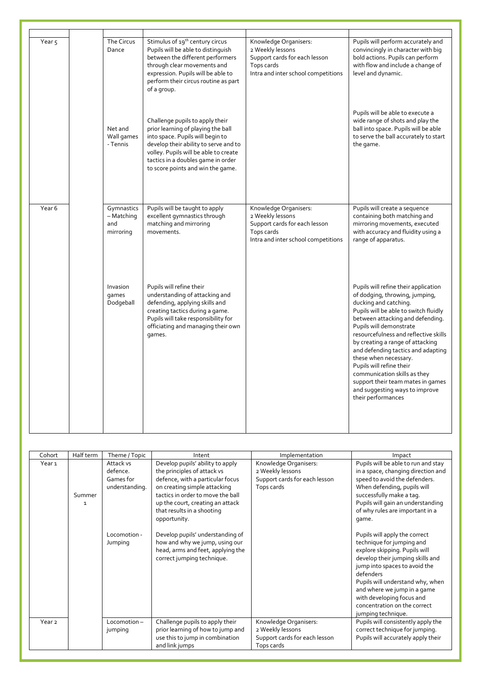| Year <sub>5</sub> | The Circus<br>Dance                          | Stimulus of 19 <sup>th</sup> century circus<br>Pupils will be able to distinguish<br>between the different performers<br>through clear movements and<br>expression. Pupils will be able to<br>perform their circus routine as part<br>of a group.                      | Knowledge Organisers:<br>2 Weekly lessons<br>Support cards for each lesson<br>Tops cards<br>Intra and inter school competitions | Pupils will perform accurately and<br>convincingly in character with big<br>bold actions. Pupils can perform<br>with flow and include a change of<br>level and dynamic.                                                                                                                                                                                                                                                                                                                                      |
|-------------------|----------------------------------------------|------------------------------------------------------------------------------------------------------------------------------------------------------------------------------------------------------------------------------------------------------------------------|---------------------------------------------------------------------------------------------------------------------------------|--------------------------------------------------------------------------------------------------------------------------------------------------------------------------------------------------------------------------------------------------------------------------------------------------------------------------------------------------------------------------------------------------------------------------------------------------------------------------------------------------------------|
|                   | Net and<br>Wall games<br>- Tennis            | Challenge pupils to apply their<br>prior learning of playing the ball<br>into space. Pupils will begin to<br>develop their ability to serve and to<br>volley. Pupils will be able to create<br>tactics in a doubles game in order<br>to score points and win the game. |                                                                                                                                 | Pupils will be able to execute a<br>wide range of shots and play the<br>ball into space. Pupils will be able<br>to serve the ball accurately to start<br>the game.                                                                                                                                                                                                                                                                                                                                           |
| Year <sub>6</sub> | Gymnastics<br>- Matching<br>and<br>mirroring | Pupils will be taught to apply<br>excellent gymnastics through<br>matching and mirroring<br>movements.                                                                                                                                                                 | Knowledge Organisers:<br>2 Weekly lessons<br>Support cards for each lesson<br>Tops cards<br>Intra and inter school competitions | Pupils will create a sequence<br>containing both matching and<br>mirroring movements, executed<br>with accuracy and fluidity using a<br>range of apparatus.                                                                                                                                                                                                                                                                                                                                                  |
|                   | Invasion<br>games<br>Dodgeball               | Pupils will refine their<br>understanding of attacking and<br>defending, applying skills and<br>creating tactics during a game.<br>Pupils will take responsibility for<br>officiating and managing their own<br>games.                                                 |                                                                                                                                 | Pupils will refine their application<br>of dodging, throwing, jumping,<br>ducking and catching.<br>Pupils will be able to switch fluidly<br>between attacking and defending.<br>Pupils will demonstrate<br>resourcefulness and reflective skills<br>by creating a range of attacking<br>and defending tactics and adapting<br>these when necessary.<br>Pupils will refine their<br>communication skills as they<br>support their team mates in games<br>and suggesting ways to improve<br>their performances |

| Cohort            | Half term              | Theme / Topic                                        | Intent                                                                                                                                                                                                                                                     | Implementation                                                                           | Impact                                                                                                                                                                                                                                                                                                                              |
|-------------------|------------------------|------------------------------------------------------|------------------------------------------------------------------------------------------------------------------------------------------------------------------------------------------------------------------------------------------------------------|------------------------------------------------------------------------------------------|-------------------------------------------------------------------------------------------------------------------------------------------------------------------------------------------------------------------------------------------------------------------------------------------------------------------------------------|
| Year 1            | Summer<br>$\mathbf{1}$ | Attack vs<br>defence.<br>Games for<br>understanding. | Develop pupils' ability to apply<br>the principles of attack vs<br>defence, with a particular focus<br>on creating simple attacking<br>tactics in order to move the ball<br>up the court, creating an attack<br>that results in a shooting<br>opportunity. | Knowledge Organisers:<br>2 Weekly lessons<br>Support cards for each lesson<br>Tops cards | Pupils will be able to run and stay<br>in a space, changing direction and<br>speed to avoid the defenders.<br>When defending, pupils will<br>successfully make a tag.<br>Pupils will gain an understanding<br>of why rules are important in a<br>qame.                                                                              |
|                   |                        | Locomotion -<br>Jumping                              | Develop pupils' understanding of<br>how and why we jump, using our<br>head, arms and feet, applying the<br>correct jumping technique.                                                                                                                      |                                                                                          | Pupils will apply the correct<br>technique for jumping and<br>explore skipping. Pupils will<br>develop their jumping skills and<br>jump into spaces to avoid the<br>defenders<br>Pupils will understand why, when<br>and where we jump in a game<br>with developing focus and<br>concentration on the correct<br>jumping technique. |
| Year <sub>2</sub> |                        | Locomotion-<br>jumping                               | Challenge pupils to apply their<br>prior learning of how to jump and<br>use this to jump in combination                                                                                                                                                    | Knowledge Organisers:<br>2 Weekly lessons<br>Support cards for each lesson               | Pupils will consistently apply the<br>correct technique for jumping.<br>Pupils will accurately apply their                                                                                                                                                                                                                          |
|                   |                        |                                                      | and link jumps                                                                                                                                                                                                                                             | Tops cards                                                                               |                                                                                                                                                                                                                                                                                                                                     |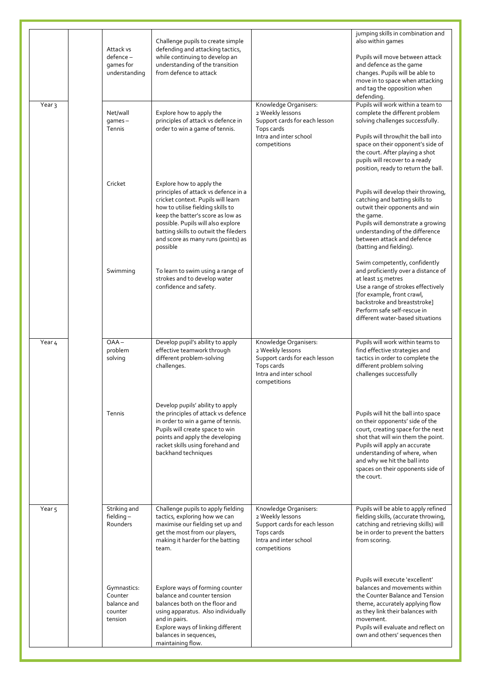|                   |                                                             |                                                                                                                                                                                                                                                                                                                   |                                                                                                                                    | jumping skills in combination and                                                                                                                                                                                                                                                                      |
|-------------------|-------------------------------------------------------------|-------------------------------------------------------------------------------------------------------------------------------------------------------------------------------------------------------------------------------------------------------------------------------------------------------------------|------------------------------------------------------------------------------------------------------------------------------------|--------------------------------------------------------------------------------------------------------------------------------------------------------------------------------------------------------------------------------------------------------------------------------------------------------|
|                   | Attack vs<br>defence-<br>games for<br>understanding         | Challenge pupils to create simple<br>defending and attacking tactics,<br>while continuing to develop an<br>understanding of the transition<br>from defence to attack                                                                                                                                              |                                                                                                                                    | also within games<br>Pupils will move between attack<br>and defence as the game<br>changes. Pupils will be able to<br>move in to space when attacking<br>and tag the opposition when<br>defending.                                                                                                     |
| Year <sub>3</sub> | Net/wall<br>$q$ ames $-$<br>Tennis                          | Explore how to apply the<br>principles of attack vs defence in<br>order to win a game of tennis.                                                                                                                                                                                                                  | Knowledge Organisers:<br>2 Weekly lessons<br>Support cards for each lesson<br>Tops cards<br>Intra and inter school<br>competitions | Pupils will work within a team to<br>complete the different problem<br>solving challenges successfully.<br>Pupils will throw/hit the ball into<br>space on their opponent's side of<br>the court. After playing a shot<br>pupils will recover to a ready<br>position, ready to return the ball.        |
|                   | Cricket                                                     | Explore how to apply the<br>principles of attack vs defence in a<br>cricket context. Pupils will learn<br>how to utilise fielding skills to<br>keep the batter's score as low as<br>possible. Pupils will also explore<br>batting skills to outwit the fileders<br>and score as many runs (points) as<br>possible |                                                                                                                                    | Pupils will develop their throwing,<br>catching and batting skills to<br>outwit their opponents and win<br>the game.<br>Pupils will demonstrate a growing<br>understanding of the difference<br>between attack and defence<br>(batting and fielding).                                                  |
|                   | Swimming                                                    | To learn to swim using a range of<br>strokes and to develop water<br>confidence and safety.                                                                                                                                                                                                                       |                                                                                                                                    | Swim competently, confidently<br>and proficiently over a distance of<br>at least 15 metres<br>Use a range of strokes effectively<br>[for example, front crawl,<br>backstroke and breaststroke]<br>Perform safe self-rescue in<br>different water-based situations                                      |
| Year 4            | $OAA -$<br>problem<br>solving                               | Develop pupil's ability to apply<br>effective teamwork through<br>different problem-solving<br>challenges.                                                                                                                                                                                                        | Knowledge Organisers:<br>2 Weekly lessons<br>Support cards for each lesson<br>Tops cards<br>Intra and inter school<br>competitions | Pupils will work within teams to<br>find effective strategies and<br>tactics in order to complete the<br>different problem solving<br>challenges successfully                                                                                                                                          |
|                   | Tennis                                                      | Develop pupils' ability to apply<br>the principles of attack vs defence<br>in order to win a game of tennis.<br>Pupils will create space to win<br>points and apply the developing<br>racket skills using forehand and<br>backhand techniques                                                                     |                                                                                                                                    | Pupils will hit the ball into space<br>on their opponents' side of the<br>court, creating space for the next<br>shot that will win them the point.<br>Pupils will apply an accurate<br>understanding of where, when<br>and why we hit the ball into<br>spaces on their opponents side of<br>the court. |
| Year <sub>5</sub> | Striking and<br>fielding $-$<br>Rounders                    | Challenge pupils to apply fielding<br>tactics, exploring how we can<br>maximise our fielding set up and<br>get the most from our players,<br>making it harder for the batting<br>team.                                                                                                                            | Knowledge Organisers:<br>2 Weekly lessons<br>Support cards for each lesson<br>Tops cards<br>Intra and inter school<br>competitions | Pupils will be able to apply refined<br>fielding skills, (accurate throwing,<br>catching and retrieving skills) will<br>be in order to prevent the batters<br>from scoring.                                                                                                                            |
|                   | Gymnastics:<br>Counter<br>balance and<br>counter<br>tension | Explore ways of forming counter<br>balance and counter tension<br>balances both on the floor and<br>using apparatus. Also individually<br>and in pairs.<br>Explore ways of linking different<br>balances in sequences,<br>maintaining flow.                                                                       |                                                                                                                                    | Pupils will execute 'excellent'<br>balances and movements within<br>the Counter Balance and Tension<br>theme, accurately applying flow<br>as they link their balances with<br>movement.<br>Pupils will evaluate and reflect on<br>own and others' sequences then                                       |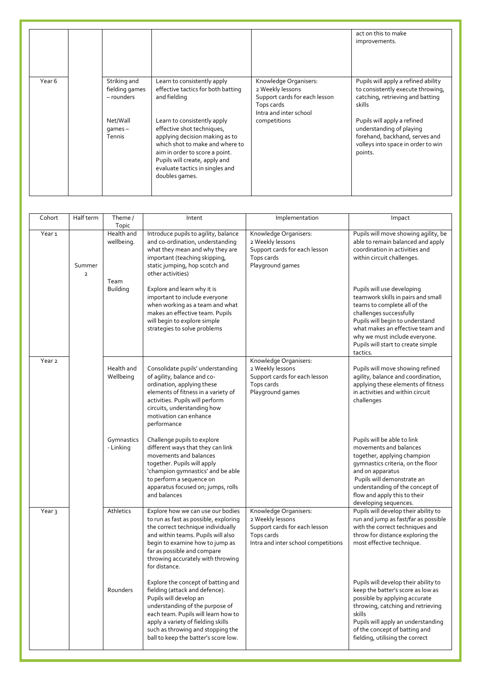|        |                                              |                                                                                                                                                                                                                                                        |                                                                                                                    | act on this to make<br>improvements.                                                                                                       |
|--------|----------------------------------------------|--------------------------------------------------------------------------------------------------------------------------------------------------------------------------------------------------------------------------------------------------------|--------------------------------------------------------------------------------------------------------------------|--------------------------------------------------------------------------------------------------------------------------------------------|
| Year 6 | Striking and<br>fielding games<br>- rounders | Learn to consistently apply<br>effective tactics for both batting<br>and fielding                                                                                                                                                                      | Knowledge Organisers:<br>2 Weekly lessons<br>Support cards for each lesson<br>Tops cards<br>Intra and inter school | Pupils will apply a refined ability<br>to consistently execute throwing,<br>catching, retrieving and batting<br>skills                     |
|        | Net/Wall<br>$qames -$<br>Tennis              | Learn to consistently apply<br>effective shot techniques,<br>applying decision making as to<br>which shot to make and where to<br>aim in order to score a point.<br>Pupils will create, apply and<br>evaluate tactics in singles and<br>doubles games. | competitions                                                                                                       | Pupils will apply a refined<br>understanding of playing<br>forehand, backhand, serves and<br>volleys into space in order to win<br>points. |

| Cohort            | Half term                | $Then l$<br>Topic        | Intent                                                                                                                                                                                                                                                                                      | Implementation                                                                                                                  | Impact                                                                                                                                                                                                                                                                                |
|-------------------|--------------------------|--------------------------|---------------------------------------------------------------------------------------------------------------------------------------------------------------------------------------------------------------------------------------------------------------------------------------------|---------------------------------------------------------------------------------------------------------------------------------|---------------------------------------------------------------------------------------------------------------------------------------------------------------------------------------------------------------------------------------------------------------------------------------|
| Year <sub>1</sub> | Summer<br>$\overline{2}$ | Health and<br>wellbeing. | Introduce pupils to agility, balance<br>and co-ordination, understanding<br>what they mean and why they are<br>important (teaching skipping,<br>static jumping, hop scotch and<br>other activities)                                                                                         | Knowledge Organisers:<br>2 Weekly lessons<br>Support cards for each lesson<br>Tops cards<br>Playground games                    | Pupils will move showing agility, be<br>able to remain balanced and apply<br>coordination in activities and<br>within circuit challenges.                                                                                                                                             |
|                   |                          | Team<br><b>Building</b>  | Explore and learn why it is<br>important to include everyone<br>when working as a team and what<br>makes an effective team. Pupils<br>will begin to explore simple<br>strategies to solve problems                                                                                          |                                                                                                                                 | Pupils will use developing<br>teamwork skills in pairs and small<br>teams to complete all of the<br>challenges successfully<br>Pupils will begin to understand<br>what makes an effective team and<br>why we must include everyone.<br>Pupils will start to create simple<br>tactics. |
| Year <sub>2</sub> |                          | Health and<br>Wellbeing  | Consolidate pupils' understanding<br>of agility, balance and co-<br>ordination, applying these<br>elements of fitness in a variety of<br>activities. Pupils will perform<br>circuits, understanding how<br>motivation can enhance<br>performance                                            | Knowledge Organisers:<br>2 Weekly lessons<br>Support cards for each lesson<br>Tops cards<br>Playground games                    | Pupils will move showing refined<br>agility, balance and coordination,<br>applying these elements of fitness<br>in activities and within circuit<br>challenges                                                                                                                        |
|                   |                          | Gymnastics<br>- Linking  | Challenge pupils to explore<br>different ways that they can link<br>movements and balances<br>together. Pupils will apply<br>'champion gymnastics' and be able<br>to perform a sequence on<br>apparatus focused on; jumps, rolls<br>and balances                                            |                                                                                                                                 | Pupils will be able to link<br>movements and balances<br>together, applying champion<br>gymnastics criteria, on the floor<br>and on apparatus<br>Pupils will demonstrate an<br>understanding of the concept of<br>flow and apply this to their<br>developing sequences.               |
| Year <sub>3</sub> |                          | Athletics                | Explore how we can use our bodies<br>to run as fast as possible, exploring<br>the correct technique individually<br>and within teams. Pupils will also<br>begin to examine how to jump as<br>far as possible and compare<br>throwing accurately with throwing<br>for distance.              | Knowledge Organisers:<br>2 Weekly lessons<br>Support cards for each lesson<br>Tops cards<br>Intra and inter school competitions | Pupils will develop their ability to<br>run and jump as fast/far as possible<br>with the correct techniques and<br>throw for distance exploring the<br>most effective technique.                                                                                                      |
|                   |                          | Rounders                 | Explore the concept of batting and<br>fielding (attack and defence).<br>Pupils will develop an<br>understanding of the purpose of<br>each team. Pupils will learn how to<br>apply a variety of fielding skills<br>such as throwing and stopping the<br>ball to keep the batter's score low. |                                                                                                                                 | Pupils will develop their ability to<br>keep the batter's score as low as<br>possible by applying accurate<br>throwing, catching and retrieving<br>skills<br>Pupils will apply an understanding<br>of the concept of batting and<br>fielding, utilising the correct                   |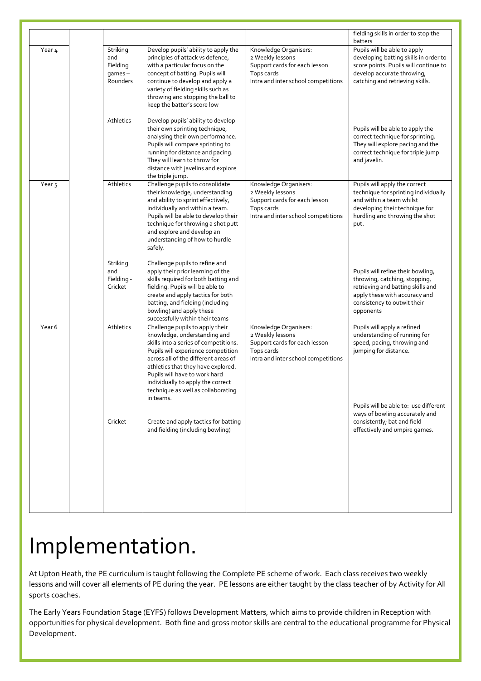|                   |                                                         |                                                                                                                                                                                                                                                                                                                                                       |                                                                                                                                 | fielding skills in order to stop the<br>batters                                                                                                                                      |
|-------------------|---------------------------------------------------------|-------------------------------------------------------------------------------------------------------------------------------------------------------------------------------------------------------------------------------------------------------------------------------------------------------------------------------------------------------|---------------------------------------------------------------------------------------------------------------------------------|--------------------------------------------------------------------------------------------------------------------------------------------------------------------------------------|
| $\bar{Y}$ ear 4   | Striking<br>and<br>Fielding<br>$q$ ames $-$<br>Rounders | Develop pupils' ability to apply the<br>principles of attack vs defence,<br>with a particular focus on the<br>concept of batting. Pupils will<br>continue to develop and apply a<br>variety of fielding skills such as<br>throwing and stopping the ball to<br>keep the batter's score low                                                            | Knowledge Organisers:<br>2 Weekly lessons<br>Support cards for each lesson<br>Tops cards<br>Intra and inter school competitions | Pupils will be able to apply<br>developing batting skills in order to<br>score points. Pupils will continue to<br>develop accurate throwing,<br>catching and retrieving skills.      |
|                   | Athletics                                               | Develop pupils' ability to develop<br>their own sprinting technique,<br>analysing their own performance.<br>Pupils will compare sprinting to<br>running for distance and pacing.<br>They will learn to throw for<br>distance with javelins and explore<br>the triple jump.                                                                            |                                                                                                                                 | Pupils will be able to apply the<br>correct technique for sprinting.<br>They will explore pacing and the<br>correct technique for triple jump<br>and javelin.                        |
| Year <sub>5</sub> | Athletics                                               | Challenge pupils to consolidate<br>their knowledge, understanding<br>and ability to sprint effectively,<br>individually and within a team.<br>Pupils will be able to develop their<br>technique for throwing a shot putt<br>and explore and develop an<br>understanding of how to hurdle<br>safely.                                                   | Knowledge Organisers:<br>2 Weekly lessons<br>Support cards for each lesson<br>Tops cards<br>Intra and inter school competitions | Pupils will apply the correct<br>technique for sprinting individually<br>and within a team whilst<br>developing their technique for<br>hurdling and throwing the shot<br>put.        |
|                   | Striking<br>and<br>Fielding -<br>Cricket                | Challenge pupils to refine and<br>apply their prior learning of the<br>skills required for both batting and<br>fielding. Pupils will be able to<br>create and apply tactics for both<br>batting, and fielding (including<br>bowling) and apply these<br>successfully within their teams                                                               |                                                                                                                                 | Pupils will refine their bowling,<br>throwing, catching, stopping,<br>retrieving and batting skills and<br>apply these with accuracy and<br>consistency to outwit their<br>opponents |
| Year 6            | Athletics                                               | Challenge pupils to apply their<br>knowledge, understanding and<br>skills into a series of competitions.<br>Pupils will experience competition<br>across all of the different areas of<br>athletics that they have explored.<br>Pupils will have to work hard<br>individually to apply the correct<br>technique as well as collaborating<br>in teams. | Knowledge Organisers:<br>2 Weekly lessons<br>Support cards for each lesson<br>Tops cards<br>Intra and inter school competitions | Pupils will apply a refined<br>understanding of running for<br>speed, pacing, throwing and<br>jumping for distance.                                                                  |
|                   | Cricket                                                 | Create and apply tactics for batting<br>and fielding (including bowling)                                                                                                                                                                                                                                                                              |                                                                                                                                 | Pupils will be able to: use different<br>ways of bowling accurately and<br>consistently; bat and field<br>effectively and umpire games.                                              |

### Implementation.

At Upton Heath, the PE curriculum is taught following the Complete PE scheme of work. Each class receives two weekly lessons and will cover all elements of PE during the year. PE lessons are either taught by the class teacher of by Activity for All sports coaches.

The Early Years Foundation Stage (EYFS) follows Development Matters, which aims to provide children in Reception with opportunities for physical development. Both fine and gross motor skills are central to the educational programme for Physical Development.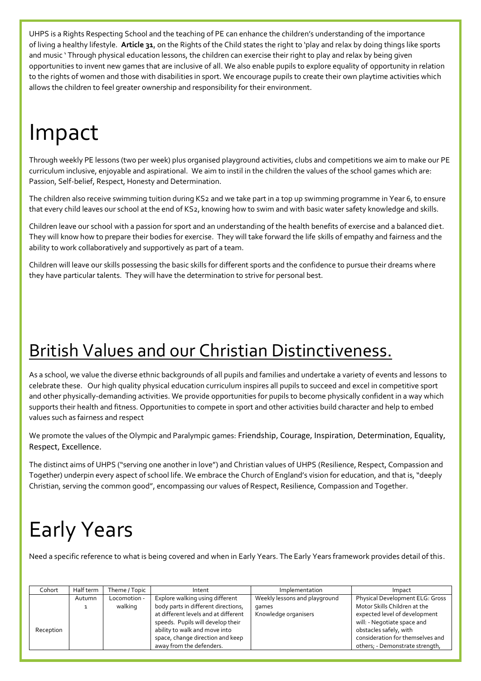UHPS is a Rights Respecting School and the teaching of PE can enhance the children's understanding of the importance of living a healthy lifestyle. **Article 31**, on the Rights of the Child states the right to 'play and relax by doing things like sports and music ' Through physical education lessons, the children can exercise their right to play and relax by being given opportunities to invent new games that are inclusive of all. We also enable pupils to explore equality of opportunity in relation to the rights of women and those with disabilities in sport. We encourage pupils to create their own playtime activities which allows the children to feel greater ownership and responsibility for their environment.

### Impact

Through weekly PE lessons (two per week) plus organised playground activities, clubs and competitions we aim to make our PE curriculum inclusive, enjoyable and aspirational. We aim to instil in the children the values of the school games which are: Passion, Self-belief, Respect, Honesty and Determination.

The children also receive swimming tuition during KS2 and we take part in a top up swimming programme in Year 6, to ensure that every child leaves our school at the end of KS2, knowing how to swim and with basic water safety knowledge and skills.

Children leave our school with a passion for sport and an understanding of the health benefits of exercise and a balanced diet. They will know how to prepare their bodies for exercise. They will take forward the life skills of empathy and fairness and the ability to work collaboratively and supportively as part of a team.

Children will leave our skills possessing the basic skills for different sports and the confidence to pursue their dreams where they have particular talents. They will have the determination to strive for personal best.

#### British Values and our Christian Distinctiveness.

As a school, we value the diverse ethnic backgrounds of all pupils and families and undertake a variety of events and lessons to celebrate these. Our high quality physical education curriculum inspires all pupils to succeed and excel in competitive sport and other physically-demanding activities. We provide opportunities for pupils to become physically confident in a way which supports their health and fitness. Opportunities to compete in sport and other activities build character and help to embed values such as fairness and respect

We promote the values of the Olympic and Paralympic games: Friendship, Courage, Inspiration, Determination, Equality, Respect, Excellence.

The distinct aims of UHPS ("serving one another in love") and Christian values of UHPS (Resilience, Respect, Compassion and Together) underpin every aspect of school life. We embrace the Church of England's vision for education, and that is, "deeply Christian, serving the common good", encompassing our values of Respect, Resilience, Compassion and Together.

### Early Years

Need a specific reference to what is being covered and when in Early Years. The Early Years framework provides detail of this.

| Cohort    | Half term | Theme / Topic | Intent                               | Implementation                | Impact                           |
|-----------|-----------|---------------|--------------------------------------|-------------------------------|----------------------------------|
|           | Autumn    | Locomotion -  | Explore walking using different      | Weekly lessons and playground | Physical Development ELG: Gross  |
|           |           | walking       | body parts in different directions,  | games                         | Motor Skills Children at the     |
|           |           |               | at different levels and at different | Knowledge organisers          | expected level of development    |
|           |           |               | speeds. Pupils will develop their    |                               | will: - Negotiate space and      |
| Reception |           |               | ability to walk and move into        |                               | obstacles safely, with           |
|           |           |               | space, change direction and keep     |                               | consideration for themselves and |
|           |           |               | away from the defenders.             |                               | others; - Demonstrate strength,  |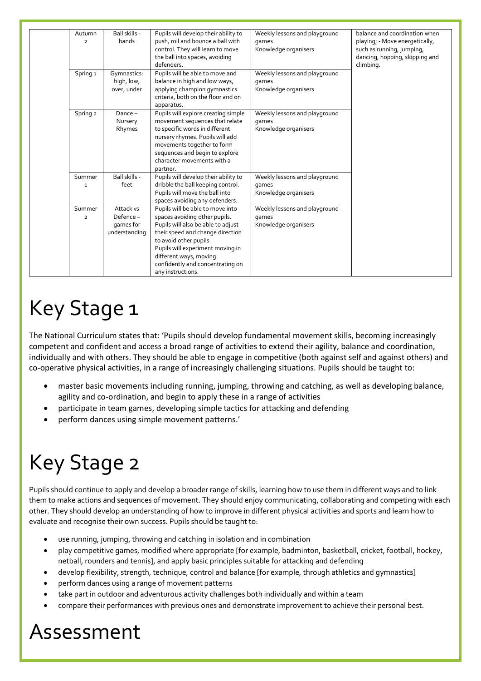| Autumn<br>$\overline{2}$ | Ball skills -<br>hands                        | Pupils will develop their ability to<br>push, roll and bounce a ball with<br>control. They will learn to move<br>the ball into spaces, avoiding<br>defenders.                                                                                                                                | Weekly lessons and playground<br>games<br>Knowledge organisers | balance and coordination when<br>playing; - Move energetically,<br>such as running, jumping,<br>dancing, hopping, skipping and<br>climbing. |
|--------------------------|-----------------------------------------------|----------------------------------------------------------------------------------------------------------------------------------------------------------------------------------------------------------------------------------------------------------------------------------------------|----------------------------------------------------------------|---------------------------------------------------------------------------------------------------------------------------------------------|
| Spring <sub>1</sub>      | Gymnastics:<br>high, low,<br>over, under      | Pupils will be able to move and<br>balance in high and low ways,<br>applying champion gymnastics<br>criteria, both on the floor and on<br>apparatus.                                                                                                                                         | Weekly lessons and playground<br>games<br>Knowledge organisers |                                                                                                                                             |
| Spring 2                 | $Dance -$<br>Nursery<br>Rhymes                | Pupils will explore creating simple<br>movement sequences that relate<br>to specific words in different<br>nursery rhymes. Pupils will add<br>movements together to form<br>sequences and begin to explore<br>character movements with a<br>partner.                                         | Weekly lessons and playground<br>games<br>Knowledge organisers |                                                                                                                                             |
| Summer<br>1              | Ball skills -<br>feet                         | Pupils will develop their ability to<br>dribble the ball keeping control.<br>Pupils will move the ball into<br>spaces avoiding any defenders.                                                                                                                                                | Weekly lessons and playground<br>games<br>Knowledge organisers |                                                                                                                                             |
| Summer<br>$\overline{2}$ | Attack vs<br>$Define -games forunderstanding$ | Pupils will be able to move into<br>spaces avoiding other pupils.<br>Pupils will also be able to adjust<br>their speed and change direction<br>to avoid other pupils.<br>Pupils will experiment moving in<br>different ways, moving<br>confidently and concentrating on<br>any instructions. | Weekly lessons and playground<br>games<br>Knowledge organisers |                                                                                                                                             |

### Key Stage 1

The National Curriculum states that: 'Pupils should develop fundamental movement skills, becoming increasingly competent and confident and access a broad range of activities to extend their agility, balance and coordination, individually and with others. They should be able to engage in competitive (both against self and against others) and co-operative physical activities, in a range of increasingly challenging situations. Pupils should be taught to:

- master basic movements including running, jumping, throwing and catching, as well as developing balance, agility and co-ordination, and begin to apply these in a range of activities
- participate in team games, developing simple tactics for attacking and defending
- perform dances using simple movement patterns.'

## Key Stage 2

Pupils should continue to apply and develop a broader range of skills, learning how to use them in different ways and to link them to make actions and sequences of movement. They should enjoy communicating, collaborating and competing with each other. They should develop an understanding of how to improve in different physical activities and sports and learn how to evaluate and recognise their own success. Pupils should be taught to:

- use running, jumping, throwing and catching in isolation and in combination
- play competitive games, modified where appropriate [for example, badminton, basketball, cricket, football, hockey, netball, rounders and tennis], and apply basic principles suitable for attacking and defending
- develop flexibility, strength, technique, control and balance [for example, through athletics and gymnastics]
- perform dances using a range of movement patterns
- take part in outdoor and adventurous activity challenges both individually and within a team
- compare their performances with previous ones and demonstrate improvement to achieve their personal best.

### Assessment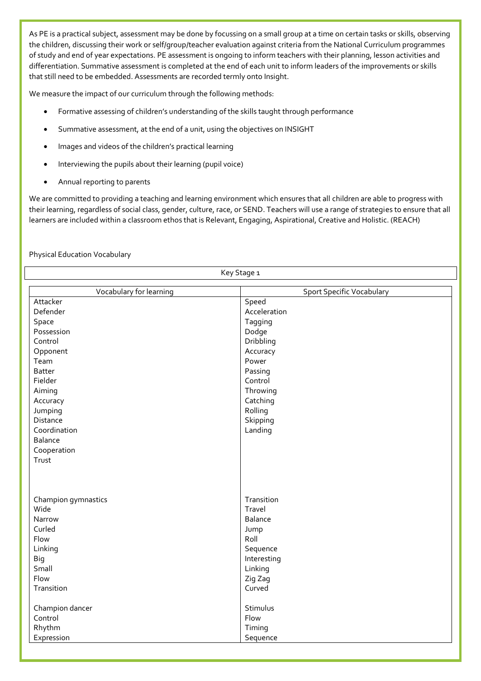As PE is a practical subject, assessment may be done by focussing on a small group at a time on certain tasks or skills, observing the children, discussing their work or self/group/teacher evaluation against criteria from the National Curriculum programmes of study and end of year expectations. PE assessment is ongoing to inform teachers with their planning, lesson activities and differentiation. Summative assessment is completed at the end of each unit to inform leaders of the improvements or skills that still need to be embedded. Assessments are recorded termly onto Insight.

We measure the impact of our curriculum through the following methods:

- Formative assessing of children's understanding of the skills taught through performance
- Summative assessment, at the end of a unit, using the objectives on INSIGHT
- Images and videos of the children's practical learning
- Interviewing the pupils about their learning (pupil voice)
- Annual reporting to parents

We are committed to providing a teaching and learning environment which ensures that all children are able to progress with their learning, regardless of social class, gender, culture, race, or SEND. Teachers will use a range of strategies to ensure that all learners are included within a classroom ethos that is Relevant, Engaging, Aspirational, Creative and Holistic. (REACH)

Physical Education Vocabulary

|                         | Key Stage 1                      |
|-------------------------|----------------------------------|
| Vocabulary for learning | <b>Sport Specific Vocabulary</b> |
| Attacker                | Speed                            |
| Defender                | Acceleration                     |
| Space                   | Tagging                          |
| Possession              | Dodge                            |
| Control                 | Dribbling                        |
| Opponent                | Accuracy                         |
| Team                    | Power                            |
| <b>Batter</b>           | Passing                          |
| Fielder                 | Control                          |
| Aiming                  | Throwing                         |
| Accuracy                | Catching                         |
| Jumping                 | Rolling                          |
| Distance                | Skipping                         |
| Coordination            | Landing                          |
| Balance                 |                                  |
| Cooperation             |                                  |
| Trust                   |                                  |
|                         |                                  |
|                         |                                  |
| Champion gymnastics     | Transition                       |
| Wide                    | Travel                           |
| Narrow                  | Balance                          |
| Curled                  | Jump                             |
| Flow                    | Roll                             |
| Linking                 | Sequence                         |
| <b>Big</b>              | Interesting                      |
| Small                   | Linking                          |
| Flow                    | Zig Zag                          |
| Transition              | Curved                           |
| Champion dancer         | Stimulus                         |
| Control                 | Flow                             |
| Rhythm                  | Timing                           |
| Expression              | Sequence                         |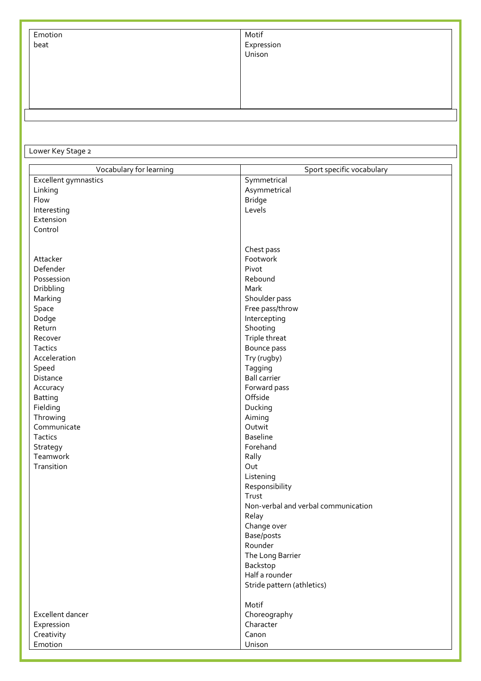| Emotion<br>beat | Motif<br>Expression<br>Unison |  |
|-----------------|-------------------------------|--|
|                 |                               |  |
|                 |                               |  |
|                 |                               |  |
|                 |                               |  |
|                 |                               |  |
|                 |                               |  |
|                 |                               |  |

Lower Key Stage 2

| Vocabulary for learning | Sport specific vocabulary           |
|-------------------------|-------------------------------------|
| Excellent gymnastics    | Symmetrical                         |
| Linking                 | Asymmetrical                        |
| Flow                    | <b>Bridge</b>                       |
| Interesting             | Levels                              |
| Extension               |                                     |
| Control                 |                                     |
|                         |                                     |
|                         | Chest pass                          |
| Attacker                | Footwork                            |
| Defender                | Pivot                               |
| Possession              | Rebound                             |
| Dribbling               | Mark                                |
| Marking                 | Shoulder pass                       |
| Space                   | Free pass/throw                     |
| Dodge                   | Intercepting                        |
| Return                  | Shooting                            |
| Recover                 | Triple threat                       |
| Tactics                 | Bounce pass                         |
| Acceleration            | Try (rugby)                         |
| Speed                   | Tagging                             |
| Distance                | <b>Ball carrier</b>                 |
| Accuracy                | Forward pass                        |
| <b>Batting</b>          | Offside                             |
| Fielding                | Ducking                             |
| Throwing                | Aiming                              |
| Communicate             | Outwit                              |
| Tactics                 | <b>Baseline</b>                     |
| Strategy                | Forehand                            |
| Teamwork                | Rally                               |
| Transition              | Out                                 |
|                         | Listening                           |
|                         | Responsibility                      |
|                         | Trust                               |
|                         | Non-verbal and verbal communication |
|                         | Relay                               |
|                         |                                     |
|                         | Change over                         |
|                         | Base/posts<br>Rounder               |
|                         |                                     |
|                         | The Long Barrier                    |
|                         | Backstop<br>Half a rounder          |
|                         |                                     |
|                         | Stride pattern (athletics)          |
|                         | Motif                               |
| Excellent dancer        | Choreography                        |
| Expression              | Character                           |
| Creativity              | Canon                               |
| Emotion                 | Unison                              |
|                         |                                     |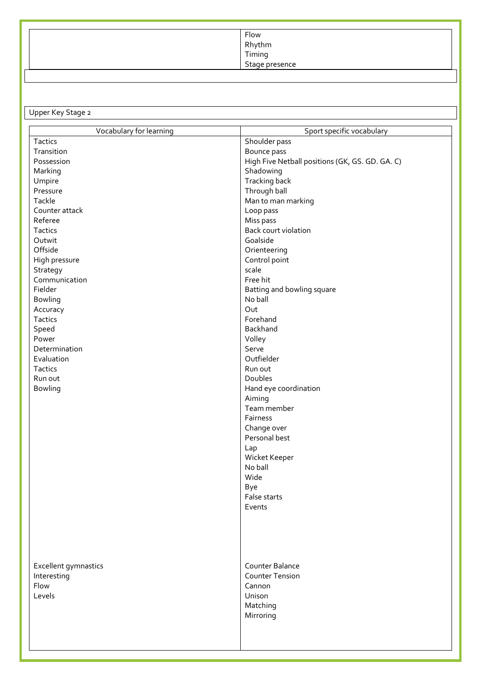| Flow           |
|----------------|
| Rhythm         |
| Timing         |
| Stage presence |
|                |

Upper Key Stage 2

| Vocabulary for learning | Sport specific vocabulary                       |
|-------------------------|-------------------------------------------------|
| Tactics                 | Shoulder pass                                   |
| Transition              | Bounce pass                                     |
| Possession              | High Five Netball positions (GK, GS. GD. GA. C) |
| Marking                 | Shadowing                                       |
| Umpire                  | Tracking back                                   |
| Pressure                | Through ball                                    |
| Tackle                  | Man to man marking                              |
| Counter attack          | Loop pass                                       |
| Referee                 | Miss pass                                       |
| Tactics                 | Back court violation                            |
| Outwit                  | Goalside                                        |
| Offside                 | Orienteering                                    |
| High pressure           | Control point                                   |
| Strategy                | scale                                           |
| Communication           | Free hit                                        |
| Fielder                 | Batting and bowling square                      |
| <b>Bowling</b>          | No ball                                         |
| Accuracy                | Out                                             |
| Tactics                 | Forehand                                        |
| Speed                   | Backhand                                        |
| Power                   | Volley                                          |
| Determination           | Serve                                           |
| Evaluation              | Outfielder                                      |
| Tactics                 | Run out                                         |
| Run out                 | Doubles                                         |
| <b>Bowling</b>          | Hand eye coordination                           |
|                         | Aiming                                          |
|                         | Team member                                     |
|                         | Fairness                                        |
|                         | Change over                                     |
|                         | Personal best                                   |
|                         | Lap                                             |
|                         | Wicket Keeper                                   |
|                         | No ball                                         |
|                         | Wide                                            |
|                         | Bye                                             |
|                         | False starts                                    |
|                         | Events                                          |
|                         |                                                 |
|                         |                                                 |
|                         |                                                 |
|                         |                                                 |
|                         |                                                 |
| Excellent gymnastics    | Counter Balance                                 |
| Interesting             | <b>Counter Tension</b>                          |
| Flow                    | Cannon                                          |
| Levels                  | Unison                                          |
|                         | Matching                                        |
|                         | Mirroring                                       |
|                         |                                                 |
|                         |                                                 |
|                         |                                                 |